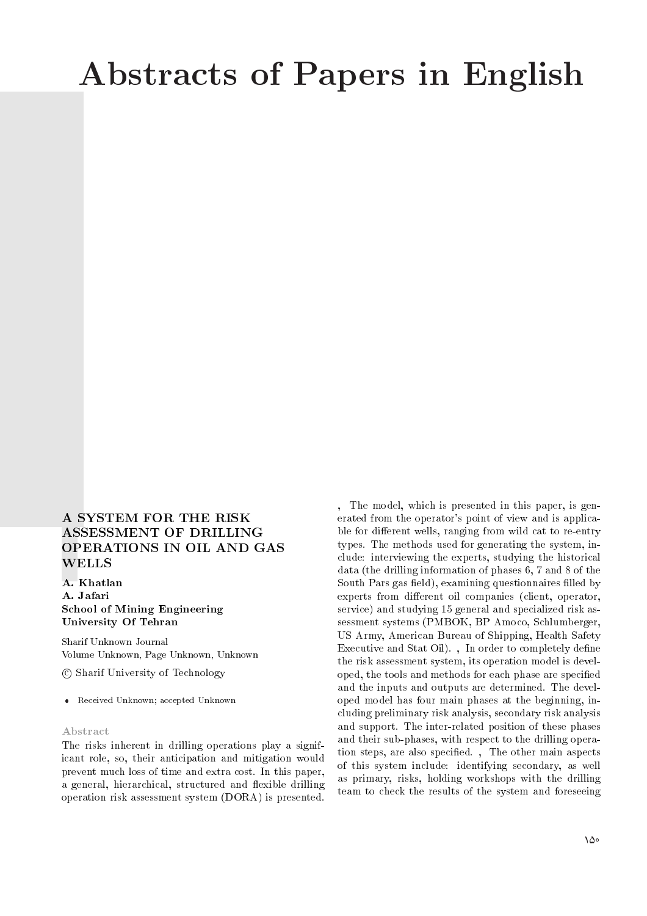# Abstracts of Papers in English

## A SYSTEM FOR THE RISK ASSESSMENT OF DRILLING OPERATIONS IN OIL AND GAS WELLS

A. Khatlan A. Jafari School of Mining Engineering University Of Tehran

Sharif Unknown Journal Volume Unknown, Page Unknown, Unknown

c Sharif University of Technology

Received Unknown; accepted Unknown

#### Abstract

The risks inherent in drilling operations play a significant role, so, their anticipation and mitigation would prevent much loss of time and extra cost. In this paper, a general, hierarchical, structured and flexible drilling operation risk assessment system (DORA) is presented.

, The model, which is presented in this paper, is generated from the operator's point of view and is applicable for different wells, ranging from wild cat to re-entry types. The methods used for generating the system, include: interviewing the experts, studying the historical data (the drilling information of phases 6, 7 and 8 of the South Pars gas field), examining questionnaires filled by experts from different oil companies (client, operator, service) and studying 15 general and specialized risk assessment systems (PMBOK, BP Amoco, Schlumberger, US Army, American Bureau of Shipping, Health Safety Executive and Stat Oil). , In order to completely define the risk assessment system, its operation model is developed, the tools and methods for each phase are specied and the inputs and outputs are determined. The developed model has four main phases at the beginning, including preliminary risk analysis, secondary risk analysis and support. The inter-related position of these phases and their sub-phases, with respect to the drilling operation steps, are also specied. , The other main aspects of this system include: identifying secondary, as well as primary, risks, holding workshops with the drilling team to check the results of the system and foreseeing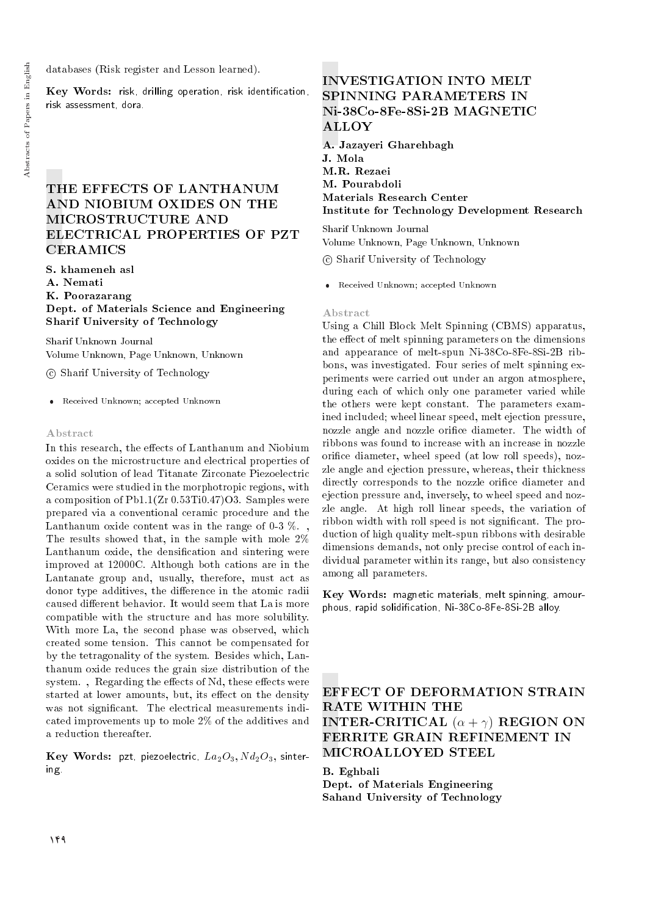databases (Risk register and Lesson learned).

Key Words: risk, drilling operation, risk identication, risk assessment, dora.

## THE EFFECTS OF LANTHANUM AND NIOBIUM OXIDES ON THE MICROSTRUCTURE AND ELECTRICAL PROPERTIES OF PZT CERAMICS

S. khameneh asl

A. Nemati

K. Poorazarang

Dept. of Materials Science and Engineering Sharif University of Technology

Sharif Unknown Journal Volume Unknown, Page Unknown, Unknown

c Sharif University of Technology

Received Unknown; accepted Unknown

#### Abstract

In this research, the effects of Lanthanum and Niobium oxides on the microstructure and electrical properties of a solid solution of lead Titanate Zirconate Piezoelectric Ceramics were studied in the morphotropic regions, with a composition of Pb1.1(Zr 0.53Ti0.47)O3. Samples were prepared via a conventional ceramic procedure and the Lanthanum oxide content was in the range of  $0.3\%$ . The results showed that, in the sample with mole 2% Lanthanum oxide, the densification and sintering were improved at 12000C. Although both cations are in the Lantanate group and, usually, therefore, must act as donor type additives, the difference in the atomic radii caused different behavior. It would seem that La is more compatible with the structure and has more solubility. With more La, the second phase was observed, which created some tension. This cannot be compensated for by the tetragonality of the system. Besides which, Lanthanum oxide reduces the grain size distribution of the system., Regarding the effects of Nd, these effects were started at lower amounts, but, its effect on the density was not significant. The electrical measurements indicated improvements up to mole 2% of the additives and a reduction thereafter.

Key Words: pzt, piezoelectric,  $La_2O_3$ ,  $Nd_2O_3$ , sintering.

# INVESTIGATION INTO MELT SPINNING PARAMETERS IN Ni-38Co-8Fe-8Si-2B MAGNETIC ALLOY

A. Jazayeri Gharehbagh J. Mola M.R. Rezaei M. Pourabdoli Materials Research Center Institute for Technology Development Research

Sharif Unknown Journal Volume Unknown, Page Unknown, Unknown

c Sharif University of Technology

Received Unknown; accepted Unknown

#### Abstract

Using a Chill Block Melt Spinning (CBMS) apparatus, the effect of melt spinning parameters on the dimensions and appearance of melt-spun Ni-38Co-8Fe-8Si-2B ribbons, was investigated. Four series of melt spinning experiments were carried out under an argon atmosphere, during each of which only one parameter varied while the others were kept constant. The parameters examined included; wheel linear speed, melt ejection pressure, nozzle angle and nozzle orice diameter. The width of ribbons was found to increase with an increase in nozzle orifice diameter, wheel speed (at low roll speeds), nozzle angle and ejection pressure, whereas, their thickness directly corresponds to the nozzle orifice diameter and ejection pressure and, inversely, to wheel speed and nozzle angle. At high roll linear speeds, the variation of ribbon width with roll speed is not signicant. The production of high quality melt-spun ribbons with desirable dimensions demands, not only precise control of each individual parameter within its range, but also consistency among all parameters.

Key Words: magnetic materials, melt spinning, amourphous, rapid solidication, Ni-38Co-8Fe-8Si-2B alloy.

EFFECT OF DEFORMATION STRAIN RATE WITHIN THE **INTER-CRITICAL**  $(\alpha + \gamma)$  **REGION ON** FERRITE GRAIN REFINEMENT IN MICROALLOYED STEEL

B. Eghbali Dept. of Materials Engineering Sahand University of Technology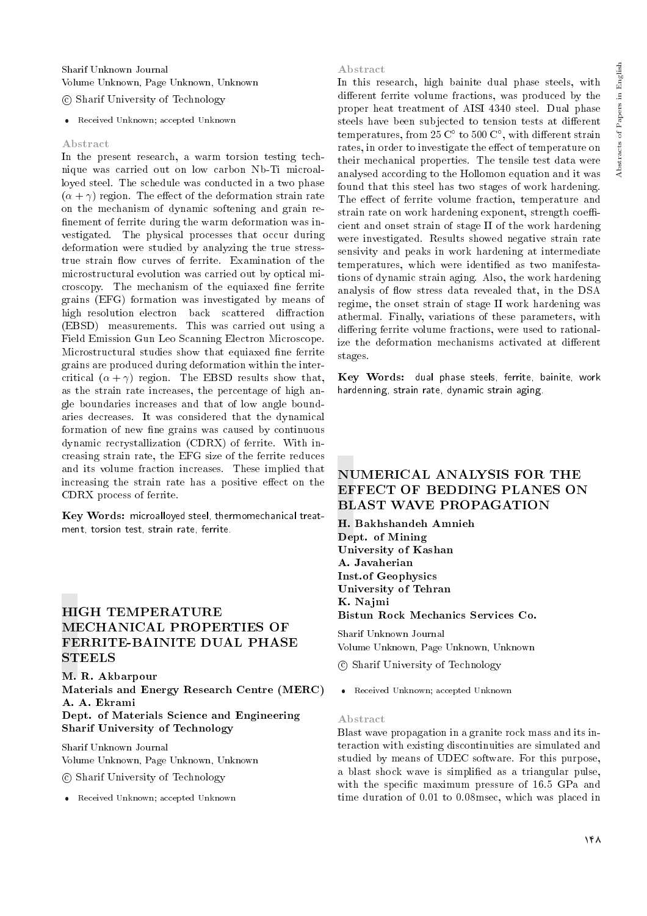## Sharif Unknown Journal Volume Unknown, Page Unknown, Unknown

## c Sharif University of Technology

Received Unknown; accepted Unknown

#### Abstract

In the present research, a warm torsion testing technique was carried out on low carbon Nb-Ti microalloyed steel. The schedule was conducted in a two phase  $(\alpha + \gamma)$  region. The effect of the deformation strain rate on the mechanism of dynamic softening and grain re finement of ferrite during the warm deformation was investigated. The physical processes that occur during deformation were studied by analyzing the true stresstrue strain flow curves of ferrite. Examination of the microstructural evolution was carried out by optical microscopy. The mechanism of the equiaxed fine ferrite grains (EFG) formation was investigated by means of high resolution electron back scattered diffraction (EBSD) measurements. This was carried out using a Field Emission Gun Leo Scanning Electron Microscope. Microstructural studies show that equiaxed fine ferrite grains are produced during deformation within the intercritical  $(\alpha + \gamma)$  region. The EBSD results show that, as the strain rate increases, the percentage of high angle boundaries increases and that of low angle boundaries decreases. It was considered that the dynamical formation of new fine grains was caused by continuous dynamic recrystallization (CDRX) of ferrite. With increasing strain rate, the EFG size of the ferrite reduces and its volume fraction increases. These implied that increasing the strain rate has a positive effect on the CDRX process of ferrite.

Key Words: microalloyed steel, thermomechanical treatment, torsion test, strain rate, ferrite.

## HIGH TEMPERATURE MECHANICAL PROPERTIES OF FERRITE-BAINITE DUAL PHASE STEELS

M. R. Akbarpour Materials and Energy Research Centre (MERC) A. A. Ekrami Dept. of Materials Science and Engineering Sharif University of Technology

Sharif Unknown Journal Volume Unknown, Page Unknown, Unknown

c Sharif University of Technology

Received Unknown; accepted Unknown

#### Abstract

In this research, high bainite dual phase steels, with different ferrite volume fractions, was produced by the proper heat treatment of AISI 4340 steel. Dual phase steels have been subjected to tension tests at different temperatures, from 25  $\mathbb{C}^{\circ}$  to 500  $\mathbb{C}^{\circ}$ , with different strain rates, in order to investigate the effect of temperature on their mechanical properties. The tensile test data were analysed according to the Hollomon equation and it was found that this steel has two stages of work hardening. The effect of ferrite volume fraction, temperature and strain rate on work hardening exponent, strength coefficient and onset strain of stage II of the work hardening were investigated. Results showed negative strain rate sensivity and peaks in work hardening at intermediate temperatures, which were identified as two manifestations of dynamic strain aging. Also, the work hardening analysis of flow stress data revealed that, in the DSA regime, the onset strain of stage II work hardening was athermal. Finally, variations of these parameters, with differing ferrite volume fractions, were used to rationalize the deformation mechanisms activated at different stages.

Key Words: dual phase steels, ferrite, bainite, work hardenning, strain rate, dynamic strain aging.

## NUMERICAL ANALYSIS FOR THE EFFECT OF BEDDING PLANES ON BLAST WAVE PROPAGATION

H. Bakhshandeh Amnieh Dept. of Mining University of Kashan A. Javaherian Inst.of Geophysics University of Tehran K. Najmi Bistun Rock Mechanics Services Co.

Sharif Unknown Journal Volume Unknown, Page Unknown, Unknown

c Sharif University of Technology

Received Unknown; accepted Unknown

#### Abstract

Blast wave propagation in a granite rock mass and its interaction with existing discontinuities are simulated and studied by means of UDEC software. For this purpose, a blast shock wave is simplied as a triangular pulse, with the specific maximum pressure of 16.5 GPa and time duration of 0.01 to 0.08msec, which was placed in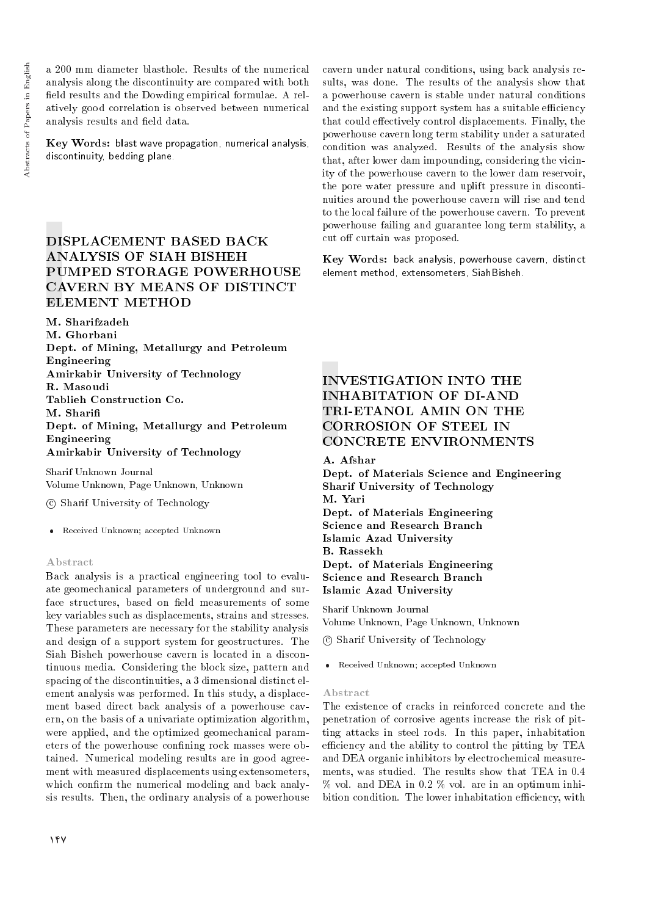a 200 mm diameter blasthole. Results of the numerical analysis along the discontinuity are compared with both field results and the Dowding empirical formulae. A relatively good correlation is observed between numerical analysis results and field data.

Key Words: blast wave propagation, numerical analysis, discontinuity, bedding plane.

## DISPLACEMENT BASED BACK ANALYSIS OF SIAH BISHEH PUMPED STORAGE POWERHOUSE CAVERN BY MEANS OF DISTINCT ELEMENT METHOD

M. Sharifzadeh M. Ghorbani

Dept. of Mining, Metallurgy and Petroleum Engineering Amirkabir University of Technology R. Masoudi Tablieh Construction Co. M. Shari Dept. of Mining, Metallurgy and Petroleum Engineering Amirkabir University of Technology

Sharif Unknown Journal Volume Unknown, Page Unknown, Unknown

c Sharif University of Technology

Received Unknown; accepted Unknown

#### Abstract

Back analysis is a practical engineering tool to evaluate geomechanical parameters of underground and surface structures, based on field measurements of some key variables such as displacements, strains and stresses. These parameters are necessary for the stability analysis and design of a support system for geostructures. The Siah Bisheh powerhouse cavern is located in a discontinuous media. Considering the block size, pattern and spacing of the discontinuities, a 3 dimensional distinct element analysis was performed. In this study, a displacement based direct back analysis of a powerhouse cavern, on the basis of a univariate optimization algorithm, were applied, and the optimized geomechanical parameters of the powerhouse confining rock masses were obtained. Numerical modeling results are in good agreement with measured displacements using extensometers, which confirm the numerical modeling and back analysis results. Then, the ordinary analysis of a powerhouse cavern under natural conditions, using back analysis results, was done. The results of the analysis show that a powerhouse cavern is stable under natural conditions and the existing support system has a suitable efficiency that could effectively control displacements. Finally, the powerhouse cavern long term stability under a saturated condition was analyzed. Results of the analysis show that, after lower dam impounding, considering the vicinity of the powerhouse cavern to the lower dam reservoir, the pore water pressure and uplift pressure in discontinuities around the powerhouse cavern will rise and tend to the local failure of the powerhouse cavern. To prevent powerhouse failing and guarantee long term stability, a cut off curtain was proposed.

Key Words: back analysis, powerhouse cavern, distinct element method, extensometers, SiahBisheh.

# INVESTIGATION INTO THE INHABITATION OF DI-AND TRI-ETANOL AMIN ON THE CORROSION OF STEEL IN CONCRETE ENVIRONMENTS

A. Afshar

Dept. of Materials Science and Engineering Sharif University of Technology M. Yari Dept. of Materials Engineering Science and Research Branch Islamic Azad University B. Rassekh Dept. of Materials Engineering Science and Research Branch Islamic Azad University

Sharif Unknown Journal Volume Unknown, Page Unknown, Unknown

c Sharif University of Technology

Received Unknown; accepted Unknown

#### Abstract

The existence of cracks in reinforced concrete and the penetration of corrosive agents increase the risk of pitting attacks in steel rods. In this paper, inhabitation efficiency and the ability to control the pitting by TEA and DEA organic inhibitors by electrochemical measurements, was studied. The results show that TEA in 0.4 % vol. and DEA in 0.2 % vol. are in an optimum inhibition condition. The lower inhabitation efficiency, with